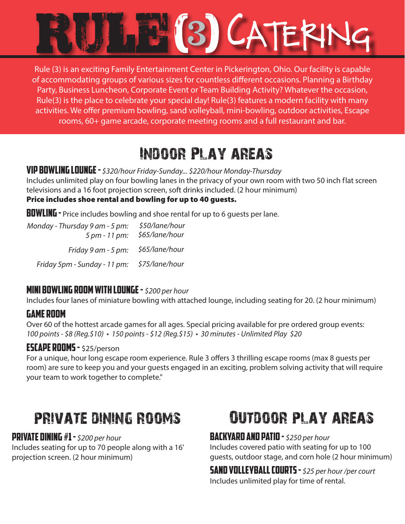

Rule (3) is an exciting Family Entertainment Center in Pickerington, Ohio. Our facility is capable of accommodating groups of various sizes for countless different occasions. Planning a Birthday Party, Business Luncheon, Corporate Event or Team Building Activity? Whatever the occasion, Rule(3) is the place to celebrate your special day! Rule(3) features a modern facility with many activities. We offer premium bowling, sand volleyball, mini-bowling, outdoor activities, Escape rooms, 60+ game arcade, corporate meeting rooms and a full restaurant and bar.

# Indoor Play areas

### VIP Bowling lounge - *\$320/hour Friday-Sunday... \$220/hour Monday-Thursday*

Includes unlimited play on four bowling lanes in the privacy of your own room with two 50 inch flat screen televisions and a 16 foot projection screen, soft drinks included. (2 hour minimum)

#### Price includes shoe rental and bowling for up to 40 guests.

**BUWLING** - Price includes bowling and shoe rental for up to 6 quests per lane.

| Monday - Thursday 9 am - 5 pm:<br>5 pm - 11 pm: | \$50/lane/hour<br>\$65/lane/hour |
|-------------------------------------------------|----------------------------------|
| Friday 9 am - 5 pm: \$65/lane/hour              |                                  |
| Friday 5pm - Sunday - 11 pm:                    | \$75/lane/hour                   |

# Mini Bowling Room with lounge - *\$200 per hour*

Includes four lanes of miniature bowling with attached lounge, including seating for 20. (2 hour minimum)

# Game room

Over 60 of the hottest arcade games for all ages. Special pricing available for pre ordered group events: *100 points - \$8 (Reg.\$10) • 150 points - \$12 (Reg.\$15) • 30 minutes - Unlimited Play \$20*

### ESCAPE ROOMS - \$25/person

For a unique, hour long escape room experience. Rule 3 offers 3 thrilling escape rooms (max 8 guests per room) are sure to keep you and your guests engaged in an exciting, problem solving activity that will require your team to work together to complete."

# private dining rooms

# private dining #1 - *\$200 per hour*

Includes seating for up to 70 people along with a 16' projection screen. (2 hour minimum)

# Outdoor play areas

# backyard and Patio - *\$250 per hour*

Includes covered patio with seating for up to 100 guests, outdoor stage, and corn hole (2 hour minimum)

sand VolleyBall Courts - *\$25 per hour /per court* Includes unlimited play for time of rental.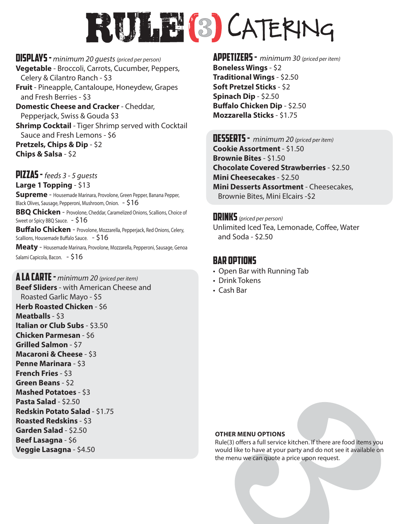# RULE(8) CATERING

Displays - *minimum 20 guests (priced per person)* **Vegetable** - Broccoli, Carrots, Cucumber, Peppers, Celery & Cilantro Ranch - \$3 **Fruit** - Pineapple, Cantaloupe, Honeydew, Grapes and Fresh Berries - \$3 **Domestic Cheese and Cracker** - Cheddar, Pepperjack, Swiss & Gouda \$3 **Shrimp Cocktail** - Tiger Shrimp served with Cocktail Sauce and Fresh Lemons - \$6 **Pretzels, Chips & Dip** - \$2 **Chips & Salsa** - \$2

Pizzas - *feeds 3 - 5 guests* **Large 1 Topping** - \$13

Salami Capicola, Bacon. - \$16

**Supreme** - Housemade Marinara, Provolone, Green Pepper, Banana Pepper, Black Olives, Sausage, Pepperoni, Mushroom, Onion. - \$16 **BBQ Chicken** - Provolone, Cheddar, Caramelized Onions, Scallions, Choice of Sweet or Spicy BBQ Sauce. - \$16 **Buffalo Chicken** - Provolone, Mozzarella, Pepperjack, Red Onions, Celery, Scallions, Housemade Buffalo Sauce.  $516$ **Meaty** - Housemade Marinara, Provolone, Mozzarella, Pepperoni, Sausage, Genoa

A LA CARTE - *minimum 20 (priced per item)*

**Beef Sliders** - with American Cheese and Roasted Garlic Mayo - \$5 **Herb Roasted Chicken** - \$6 **Meatballs** - \$3 **Italian or Club Subs** - \$3.50 **Chicken Parmesan** - \$6 **Grilled Salmon** - \$7 **Macaroni & Cheese** - \$3 **Penne Marinara** - \$3 **French Fries** - \$3 **Green Beans** - \$2 **Mashed Potatoes** - \$3 **Pasta Salad** - \$2.50 **Redskin Potato Salad** - \$1.75 **Roasted Redskins** - \$3 **Garden Salad** - \$2.50 **Beef Lasagna** - \$6 **Veggie Lasagna** - \$4.50

Appetizers - *minimum 30 (priced per item)* **Boneless Wings** - \$2 **Traditional Wings** - \$2.50 **Soft Pretzel Sticks** - \$2 **Spinach Dip** - \$2.50 **Buffalo Chicken Dip** - \$2.50 **Mozzarella Sticks** - \$1.75

Desserts - *minimum 20 (priced per item)* **Cookie Assortment** - \$1.50 **Brownie Bites** - \$1.50 **Chocolate Covered Strawberries** - \$2.50 **Mini Cheesecakes** - \$2.50 **Mini Desserts Assortment** - Cheesecakes, Brownie Bites, Mini Elcairs -\$2

**DRINKS** (priced per person) Unlimited Iced Tea, Lemonade, Coffee, Water and Soda - \$2.50

## BAR OPTIONS

- Open Bar with Running Tab
- Drink Tokens
- Cash Bar

#### **OTHER MENU OPTIONS**

Rule(3) offers a full service kitchen. If there are food items you would like to have at your party and do not see it available on the menu we can quote a price upon request.